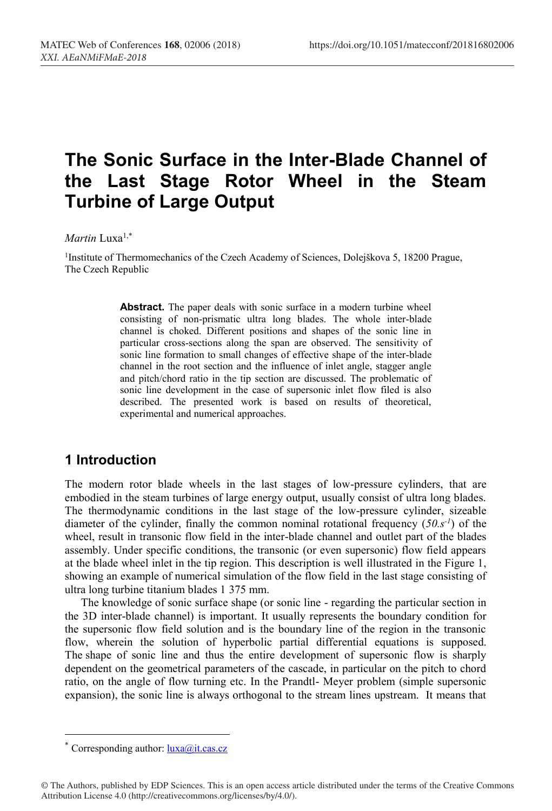# **The Sonic Surface in the Inter-Blade Channel of the Last Stage Rotor Wheel in the Steam Turbine of Large Output**

#### *Martin* Luxa1,\*

<sup>1</sup>Institute of Thermomechanics of the Czech Academy of Sciences, Dolejškova 5, 18200 Prague, The Czech Republic

> **Abstract.** The paper deals with sonic surface in a modern turbine wheel consisting of non-prismatic ultra long blades. The whole inter-blade channel is choked. Different positions and shapes of the sonic line in particular cross-sections along the span are observed. The sensitivity of sonic line formation to small changes of effective shape of the inter-blade channel in the root section and the influence of inlet angle, stagger angle and pitch/chord ratio in the tip section are discussed. The problematic of sonic line development in the case of supersonic inlet flow filed is also described. The presented work is based on results of theoretical, experimental and numerical approaches.

## **1 Introduction**

The modern rotor blade wheels in the last stages of low-pressure cylinders, that are embodied in the steam turbines of large energy output, usually consist of ultra long blades. The thermodynamic conditions in the last stage of the low-pressure cylinder, sizeable diameter of the cylinder, finally the common nominal rotational frequency (*50.s-1* ) of the wheel, result in transonic flow field in the inter-blade channel and outlet part of the blades assembly. Under specific conditions, the transonic (or even supersonic) flow field appears at the blade wheel inlet in the tip region. This description is well illustrated in the Figure 1, showing an example of numerical simulation of the flow field in the last stage consisting of ultra long turbine titanium blades 1 375 mm.

The knowledge of sonic surface shape (or sonic line - regarding the particular section in the 3D inter-blade channel) is important. It usually represents the boundary condition for the supersonic flow field solution and is the boundary line of the region in the transonic flow, wherein the solution of hyperbolic partial differential equations is supposed. The shape of sonic line and thus the entire development of supersonic flow is sharply dependent on the geometrical parameters of the cascade, in particular on the pitch to chord ratio, on the angle of flow turning etc. In the Prandtl- Meyer problem (simple supersonic expansion), the sonic line is always orthogonal to the stream lines upstream. It means that

Corresponding author:  $luxa@it.cas.cz$ 

<sup>©</sup> The Authors, published by EDP Sciences. This is an open access article distributed under the terms of the Creative Commons Attribution License 4.0 (http://creativecommons.org/licenses/by/4.0/).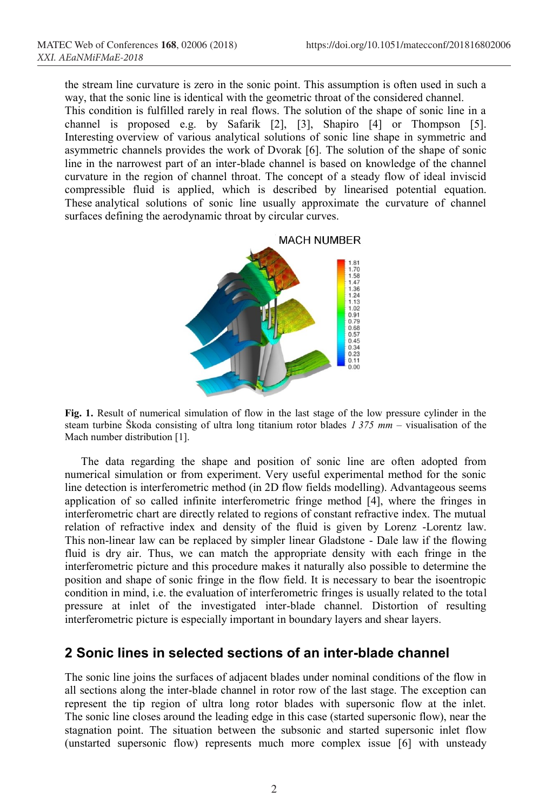the stream line curvature is zero in the sonic point. This assumption is often used in such a way, that the sonic line is identical with the geometric throat of the considered channel. This condition is fulfilled rarely in real flows. The solution of the shape of sonic line in a channel is proposed e.g. by Safarik [2], [3], Shapiro [4] or Thompson [5]. Interesting overview of various analytical solutions of sonic line shape in symmetric and asymmetric channels provides the work of Dvorak [6]. The solution of the shape of sonic line in the narrowest part of an inter-blade channel is based on knowledge of the channel curvature in the region of channel throat. The concept of a steady flow of ideal inviscid compressible fluid is applied, which is described by linearised potential equation. These analytical solutions of sonic line usually approximate the curvature of channel surfaces defining the aerodynamic throat by circular curves.

**MACH NUMBER** 



**Fig. 1.** Result of numerical simulation of flow in the last stage of the low pressure cylinder in the steam turbine Škoda consisting of ultra long titanium rotor blades *1 375 mm* – visualisation of the Mach number distribution [1].

The data regarding the shape and position of sonic line are often adopted from numerical simulation or from experiment. Very useful experimental method for the sonic line detection is interferometric method (in 2D flow fields modelling). Advantageous seems application of so called infinite interferometric fringe method [4], where the fringes in interferometric chart are directly related to regions of constant refractive index. The mutual relation of refractive index and density of the fluid is given by Lorenz -Lorentz law. This non-linear law can be replaced by simpler linear Gladstone - Dale law if the flowing fluid is dry air. Thus, we can match the appropriate density with each fringe in the interferometric picture and this procedure makes it naturally also possible to determine the position and shape of sonic fringe in the flow field. It is necessary to bear the isoentropic condition in mind, i.e. the evaluation of interferometric fringes is usually related to the total pressure at inlet of the investigated inter-blade channel. Distortion of resulting interferometric picture is especially important in boundary layers and shear layers.

## **2 Sonic lines in selected sections of an inter-blade channel**

The sonic line joins the surfaces of adjacent blades under nominal conditions of the flow in all sections along the inter-blade channel in rotor row of the last stage. The exception can represent the tip region of ultra long rotor blades with supersonic flow at the inlet. The sonic line closes around the leading edge in this case (started supersonic flow), near the stagnation point. The situation between the subsonic and started supersonic inlet flow (unstarted supersonic flow) represents much more complex issue [6] with unsteady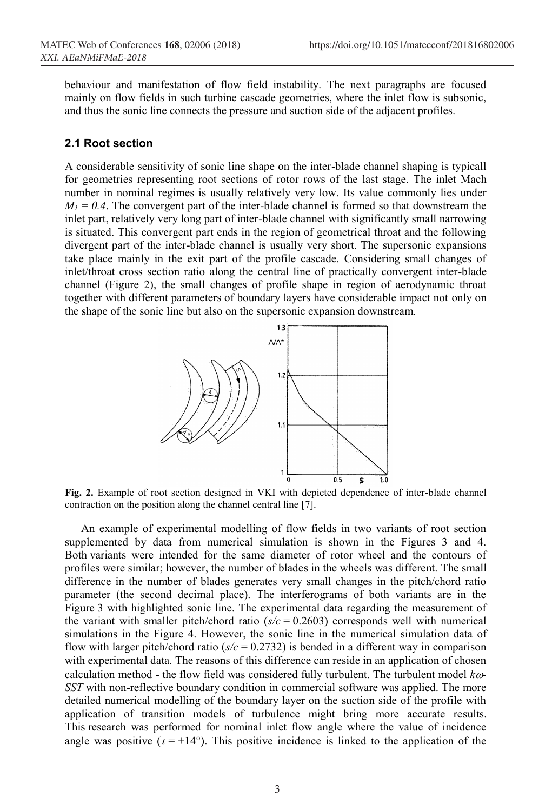behaviour and manifestation of flow field instability. The next paragraphs are focused mainly on flow fields in such turbine cascade geometries, where the inlet flow is subsonic, and thus the sonic line connects the pressure and suction side of the adjacent profiles.

#### **2.1 Root section**

A considerable sensitivity of sonic line shape on the inter-blade channel shaping is typicall for geometries representing root sections of rotor rows of the last stage. The inlet Mach number in nominal regimes is usually relatively very low. Its value commonly lies under  $M_1 = 0.4$ . The convergent part of the inter-blade channel is formed so that downstream the inlet part, relatively very long part of inter-blade channel with significantly small narrowing is situated. This convergent part ends in the region of geometrical throat and the following divergent part of the inter-blade channel is usually very short. The supersonic expansions take place mainly in the exit part of the profile cascade. Considering small changes of inlet/throat cross section ratio along the central line of practically convergent inter-blade channel (Figure 2), the small changes of profile shape in region of aerodynamic throat together with different parameters of boundary layers have considerable impact not only on the shape of the sonic line but also on the supersonic expansion downstream.



**Fig. 2.** Example of root section designed in VKI with depicted dependence of inter-blade channel contraction on the position along the channel central line [7].

An example of experimental modelling of flow fields in two variants of root section supplemented by data from numerical simulation is shown in the Figures 3 and 4. Both variants were intended for the same diameter of rotor wheel and the contours of profiles were similar; however, the number of blades in the wheels was different. The small difference in the number of blades generates very small changes in the pitch/chord ratio parameter (the second decimal place). The interferograms of both variants are in the Figure 3 with highlighted sonic line. The experimental data regarding the measurement of the variant with smaller pitch/chord ratio  $(s/c = 0.2603)$  corresponds well with numerical simulations in the Figure 4. However, the sonic line in the numerical simulation data of flow with larger pitch/chord ratio ( $s/c = 0.2732$ ) is bended in a different way in comparison with experimental data. The reasons of this difference can reside in an application of chosen calculation method - the flow field was considered fully turbulent. The turbulent model  $k\omega$ -*SST* with non-reflective boundary condition in commercial software was applied. The more detailed numerical modelling of the boundary layer on the suction side of the profile with application of transition models of turbulence might bring more accurate results. This research was performed for nominal inlet flow angle where the value of incidence angle was positive  $(t = +14^{\circ})$ . This positive incidence is linked to the application of the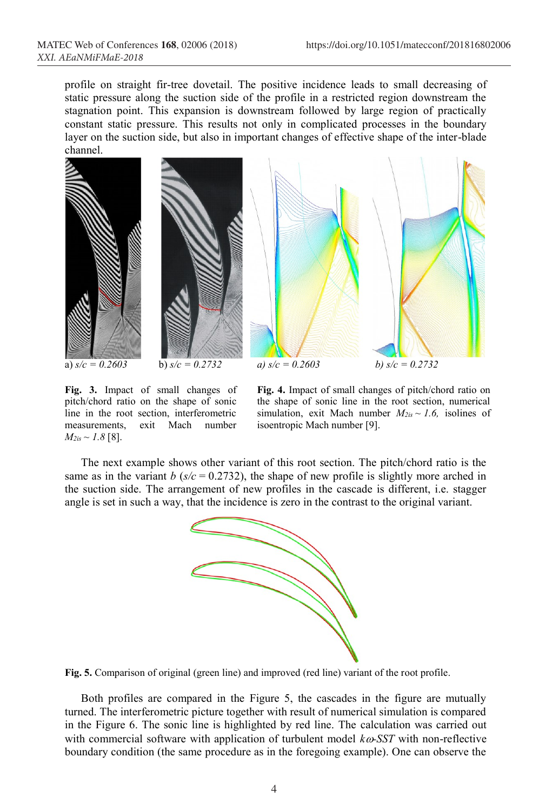profile on straight fir-tree dovetail. The positive incidence leads to small decreasing of static pressure along the suction side of the profile in a restricted region downstream the stagnation point. This expansion is downstream followed by large region of practically constant static pressure. This results not only in complicated processes in the boundary layer on the suction side, but also in important changes of effective shape of the inter-blade channel.





**Fig. 3.** Impact of small changes of pitch/chord ratio on the shape of sonic line in the root section, interferometric measurements, exit Mach number  $M_{2is} \sim 1.8$  [8].

**Fig. 4.** Impact of small changes of pitch/chord ratio on the shape of sonic line in the root section, numerical simulation, exit Mach number  $M_{2is} \sim 1.6$ , isolines of isoentropic Mach number [9].

The next example shows other variant of this root section. The pitch/chord ratio is the same as in the variant *b* ( $s/c = 0.2732$ ), the shape of new profile is slightly more arched in the suction side. The arrangement of new profiles in the cascade is different, i.e. stagger angle is set in such a way, that the incidence is zero in the contrast to the original variant.



**Fig. 5.** Comparison of original (green line) and improved (red line) variant of the root profile.

Both profiles are compared in the Figure 5, the cascades in the figure are mutually turned. The interferometric picture together with result of numerical simulation is compared in the Figure 6. The sonic line is highlighted by red line. The calculation was carried out with commercial software with application of turbulent model  $k\omega$ -SST with non-reflective boundary condition (the same procedure as in the foregoing example). One can observe the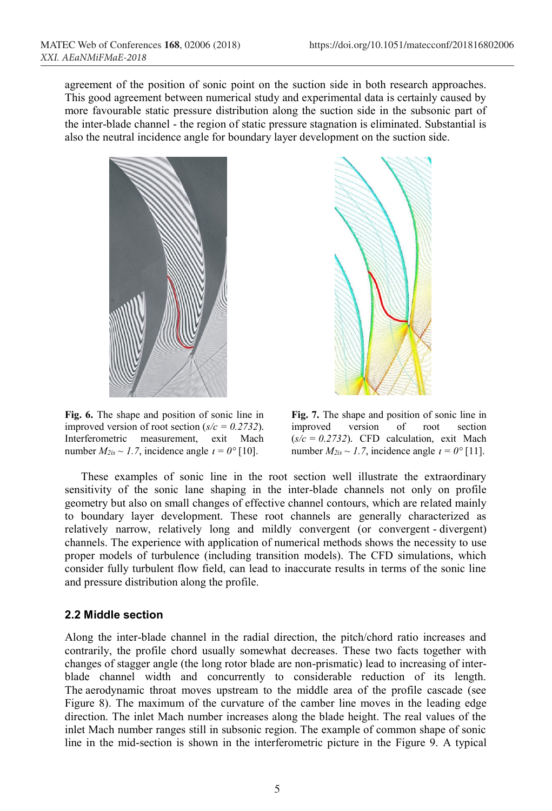agreement of the position of sonic point on the suction side in both research approaches. This good agreement between numerical study and experimental data is certainly caused by more favourable static pressure distribution along the suction side in the subsonic part of the inter-blade channel - the region of static pressure stagnation is eliminated. Substantial is also the neutral incidence angle for boundary layer development on the suction side.



**Fig. 6.** The shape and position of sonic line in improved version of root section  $(s/c = 0.2732)$ . Interferometric measurement, exit Mach number  $M_{2is} \sim 1.7$ , incidence angle  $t = 0^\circ [10]$ .



**Fig. 7.** The shape and position of sonic line in improved version of root section  $(s/c = 0.2732)$ . CFD calculation, exit Mach number  $M_{2is} \sim 1.7$ , incidence angle  $\iota = 0^{\circ}$  [11].

These examples of sonic line in the root section well illustrate the extraordinary sensitivity of the sonic lane shaping in the inter-blade channels not only on profile geometry but also on small changes of effective channel contours, which are related mainly to boundary layer development. These root channels are generally characterized as relatively narrow, relatively long and mildly convergent (or convergent - divergent) channels. The experience with application of numerical methods shows the necessity to use proper models of turbulence (including transition models). The CFD simulations, which consider fully turbulent flow field, can lead to inaccurate results in terms of the sonic line and pressure distribution along the profile.

## **2.2 Middle section**

Along the inter-blade channel in the radial direction, the pitch/chord ratio increases and contrarily, the profile chord usually somewhat decreases. These two facts together with changes of stagger angle (the long rotor blade are non-prismatic) lead to increasing of interblade channel width and concurrently to considerable reduction of its length. The aerodynamic throat moves upstream to the middle area of the profile cascade (see Figure 8). The maximum of the curvature of the camber line moves in the leading edge direction. The inlet Mach number increases along the blade height. The real values of the inlet Mach number ranges still in subsonic region. The example of common shape of sonic line in the mid-section is shown in the interferometric picture in the Figure 9. A typical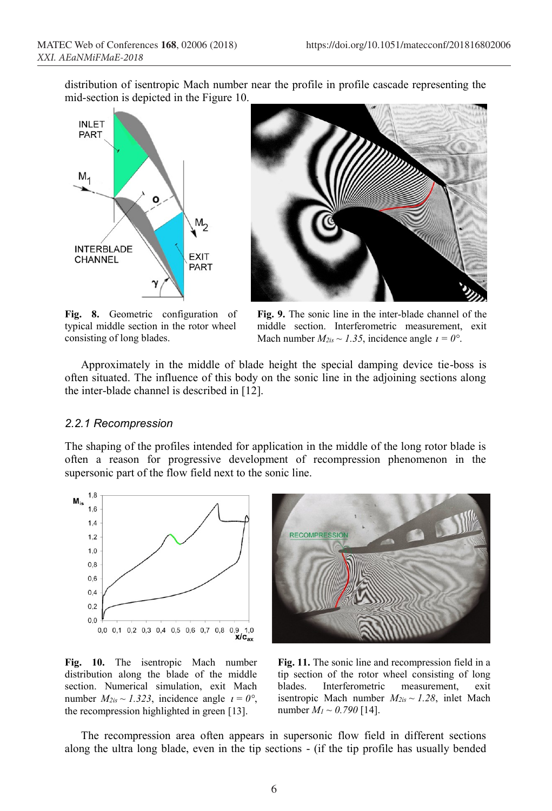distribution of isentropic Mach number near the profile in profile cascade representing the mid-section is depicted in the Figure 10.





**Fig. 8.** Geometric configuration of typical middle section in the rotor wheel consisting of long blades.

**Fig. 9.** The sonic line in the inter-blade channel of the middle section. Interferometric measurement, exit Mach number  $M_{2is} \sim 1.35$ , incidence angle  $t = 0^\circ$ .

Approximately in the middle of blade height the special damping device tie-boss is often situated. The influence of this body on the sonic line in the adjoining sections along the inter-blade channel is described in [12].

#### *2.2.1 Recompression*

The shaping of the profiles intended for application in the middle of the long rotor blade is often a reason for progressive development of recompression phenomenon in the supersonic part of the flow field next to the sonic line.



**Fig. 10.** The isentropic Mach number distribution along the blade of the middle section. Numerical simulation, exit Mach number  $M_{2is} \sim 1.323$ , incidence angle  $t = 0^\circ$ , the recompression highlighted in green [13].



**Fig. 11.** The sonic line and recompression field in a tip section of the rotor wheel consisting of long blades. Interferometric measurement, exit isentropic Mach number  $M_{2is} \sim 1.28$ , inlet Mach number  $M_1 \sim 0.790$  [14].

The recompression area often appears in supersonic flow field in different sections along the ultra long blade, even in the tip sections - (if the tip profile has usually bended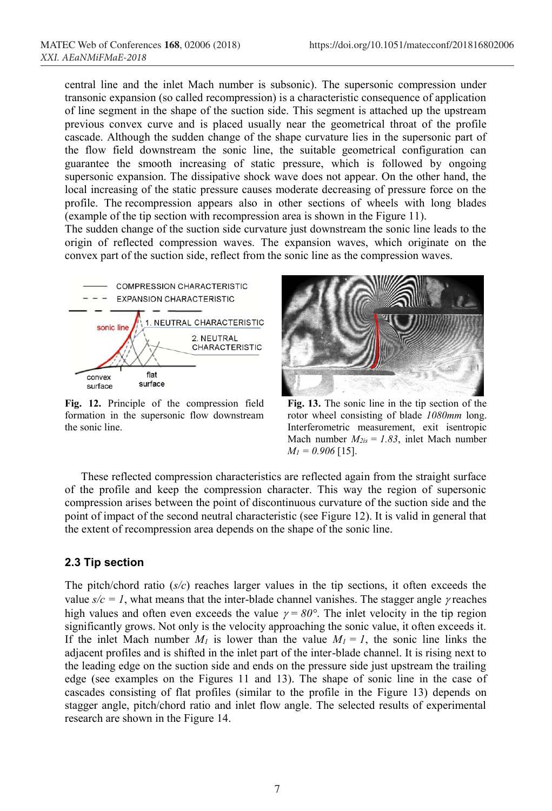central line and the inlet Mach number is subsonic). The supersonic compression under transonic expansion (so called recompression) is a characteristic consequence of application of line segment in the shape of the suction side. This segment is attached up the upstream previous convex curve and is placed usually near the geometrical throat of the profile cascade. Although the sudden change of the shape curvature lies in the supersonic part of the flow field downstream the sonic line, the suitable geometrical configuration can guarantee the smooth increasing of static pressure, which is followed by ongoing supersonic expansion. The dissipative shock wave does not appear. On the other hand, the local increasing of the static pressure causes moderate decreasing of pressure force on the profile. The recompression appears also in other sections of wheels with long blades (example of the tip section with recompression area is shown in the Figure 11).

The sudden change of the suction side curvature just downstream the sonic line leads to the origin of reflected compression waves. The expansion waves, which originate on the convex part of the suction side, reflect from the sonic line as the compression waves.



**Fig. 12.** Principle of the compression field formation in the supersonic flow downstream the sonic line.



**Fig. 13.** The sonic line in the tip section of the rotor wheel consisting of blade *1080mm* long. Interferometric measurement, exit isentropic Mach number  $M_{2is} = 1.83$ , inlet Mach number *M1 = 0.906* [15].

These reflected compression characteristics are reflected again from the straight surface of the profile and keep the compression character. This way the region of supersonic compression arises between the point of discontinuous curvature of the suction side and the point of impact of the second neutral characteristic (see Figure 12). It is valid in general that the extent of recompression area depends on the shape of the sonic line.

### **2.3 Tip section**

The pitch/chord ratio (*s/c*) reaches larger values in the tip sections, it often exceeds the value  $s/c = 1$ , what means that the inter-blade channel vanishes. The stagger angle  $\gamma$  reaches high values and often even exceeds the value  $\gamma = 80^\circ$ . The inlet velocity in the tip region significantly grows. Not only is the velocity approaching the sonic value, it often exceeds it. If the inlet Mach number  $M_l$  is lower than the value  $M_l = I$ , the sonic line links the adjacent profiles and is shifted in the inlet part of the inter-blade channel. It is rising next to the leading edge on the suction side and ends on the pressure side just upstream the trailing edge (see examples on the Figures 11 and 13). The shape of sonic line in the case of cascades consisting of flat profiles (similar to the profile in the Figure 13) depends on stagger angle, pitch/chord ratio and inlet flow angle. The selected results of experimental research are shown in the Figure 14.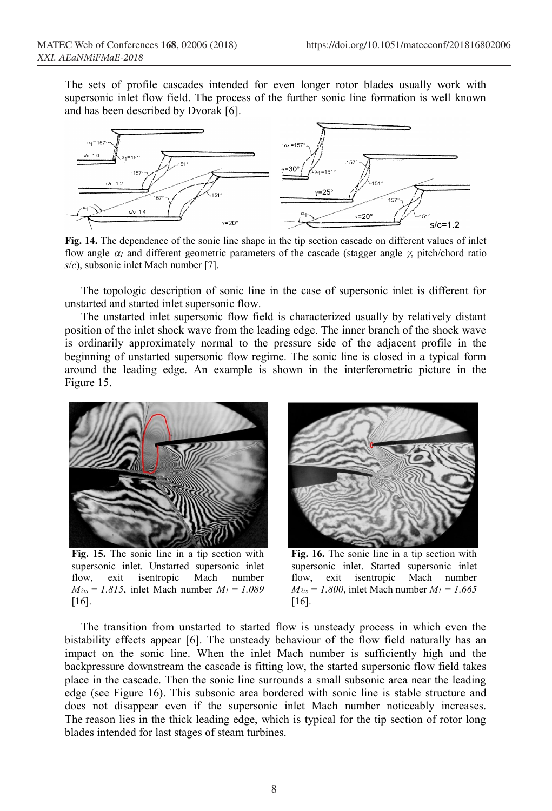The sets of profile cascades intended for even longer rotor blades usually work with supersonic inlet flow field. The process of the further sonic line formation is well known and has been described by Dvorak [6].



**Fig. 14.** The dependence of the sonic line shape in the tip section cascade on different values of inlet flow angle  $\alpha_l$  and different geometric parameters of the cascade (stagger angle  $\gamma$ , pitch/chord ratio *s*/*c*), subsonic inlet Mach number [7].

The topologic description of sonic line in the case of supersonic inlet is different for unstarted and started inlet supersonic flow.

The unstarted inlet supersonic flow field is characterized usually by relatively distant position of the inlet shock wave from the leading edge. The inner branch of the shock wave is ordinarily approximately normal to the pressure side of the adjacent profile in the beginning of unstarted supersonic flow regime. The sonic line is closed in a typical form around the leading edge. An example is shown in the interferometric picture in the Figure 15.



**Fig. 15.** The sonic line in a tip section with supersonic inlet. Unstarted supersonic inlet flow, exit isentropic Mach number *M2is = 1.815*, inlet Mach number *M1 = 1.089* [16].



**Fig. 16.** The sonic line in a tip section with supersonic inlet. Started supersonic inlet flow, exit isentropic Mach number  $M_{2is} = 1.800$ , inlet Mach number  $M_1 = 1.665$ [16].

The transition from unstarted to started flow is unsteady process in which even the bistability effects appear [6]. The unsteady behaviour of the flow field naturally has an impact on the sonic line. When the inlet Mach number is sufficiently high and the backpressure downstream the cascade is fitting low, the started supersonic flow field takes place in the cascade. Then the sonic line surrounds a small subsonic area near the leading edge (see Figure 16). This subsonic area bordered with sonic line is stable structure and does not disappear even if the supersonic inlet Mach number noticeably increases. The reason lies in the thick leading edge, which is typical for the tip section of rotor long blades intended for last stages of steam turbines.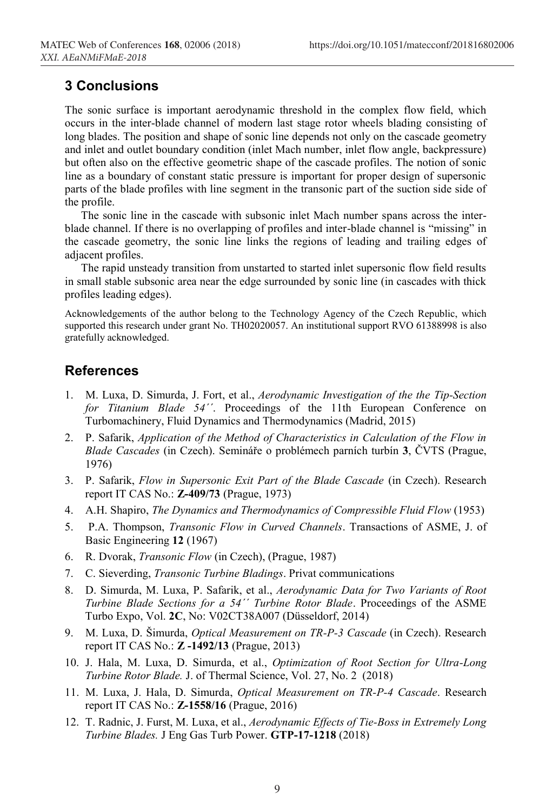# **3 Conclusions**

The sonic surface is important aerodynamic threshold in the complex flow field, which occurs in the inter-blade channel of modern last stage rotor wheels blading consisting of long blades. The position and shape of sonic line depends not only on the cascade geometry and inlet and outlet boundary condition (inlet Mach number, inlet flow angle, backpressure) but often also on the effective geometric shape of the cascade profiles. The notion of sonic line as a boundary of constant static pressure is important for proper design of supersonic parts of the blade profiles with line segment in the transonic part of the suction side side of the profile.

The sonic line in the cascade with subsonic inlet Mach number spans across the interblade channel. If there is no overlapping of profiles and inter-blade channel is "missing" in the cascade geometry, the sonic line links the regions of leading and trailing edges of adjacent profiles.

The rapid unsteady transition from unstarted to started inlet supersonic flow field results in small stable subsonic area near the edge surrounded by sonic line (in cascades with thick profiles leading edges).

Acknowledgements of the author belong to the Technology Agency of the Czech Republic, which supported this research under grant No. TH02020057. An institutional support RVO 61388998 is also gratefully acknowledged.

# **References**

- 1. M. Luxa, D. Simurda, J. Fort, et al., *Aerodynamic Investigation of the the Tip-Section for Titanium Blade 54´´*. Proceedings of the 11th European Conference on Turbomachinery, Fluid Dynamics and Thermodynamics (Madrid, 2015)
- 2. P. Safarik, *Application of the Method of Characteristics in Calculation of the Flow in Blade Cascades* (in Czech). Semináře o problémech parních turbín **3**, ČVTS (Prague, 1976)
- 3. P. Safarik, *Flow in Supersonic Exit Part of the Blade Cascade* (in Czech). Research report IT CAS No.: **Z-409/73** (Prague, 1973)
- 4. A.H. Shapiro, *The Dynamics and Thermodynamics of Compressible Fluid Flow* (1953)
- 5. P.A. Thompson, *Transonic Flow in Curved Channels*. Transactions of ASME, J. of Basic Engineering **12** (1967)
- 6. R. Dvorak, *Transonic Flow* (in Czech), (Prague, 1987)
- 7. C. Sieverding, *Transonic Turbine Bladings*. Privat communications
- 8. D. Simurda, M. Luxa, P. Safarik, et al., *Aerodynamic Data for Two Variants of Root Turbine Blade Sections for a 54´´ Turbine Rotor Blade*. Proceedings of the ASME Turbo Expo, Vol. **2C**, No: V02CT38A007 (Düsseldorf, 2014)
- 9. M. Luxa, D. Šimurda, *Optical Measurement on TR-P-3 Cascade* (in Czech). Research report IT CAS No.: **Z -1492/13** (Prague, 2013)
- 10. J. Hala, M. Luxa, D. Simurda, et al., *Optimization of Root Section for Ultra-Long Turbine Rotor Blade.* J. of Thermal Science, Vol. 27, No. 2 (2018)
- 11. M. Luxa, J. Hala, D. Simurda, *Optical Measurement on TR-P-4 Cascade*. Research report IT CAS No.: **Z-1558/16** (Prague, 2016)
- 12. T. Radnic, J. Furst, M. Luxa, et al., *Aerodynamic Effects of Tie-Boss in Extremely Long Turbine Blades.* J Eng Gas Turb Power. **GTP-17-1218** (2018)